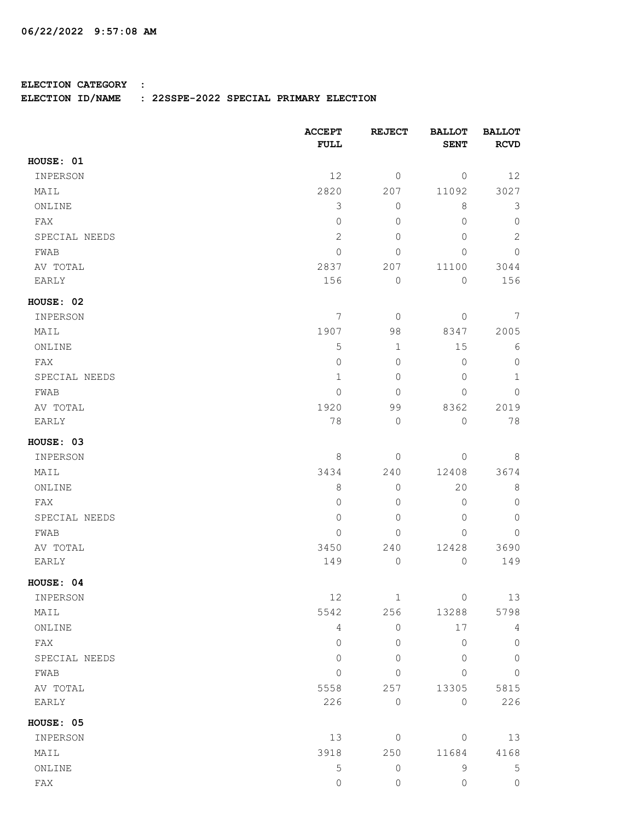## **ELECTION CATEGORY :**

## **ELECTION ID/NAME : 22SSPE-2022 SPECIAL PRIMARY ELECTION**

|               | <b>ACCEPT</b><br>FULL | <b>REJECT</b>       | <b>BALLOT</b><br><b>SENT</b> | <b>BALLOT</b><br><b>RCVD</b> |
|---------------|-----------------------|---------------------|------------------------------|------------------------------|
| HOUSE: 01     |                       |                     |                              |                              |
| INPERSON      | 12                    | 0                   | $\circ$                      | 12                           |
| MAIL          | 2820                  | 207                 | 11092                        | 3027                         |
| ONLINE        | $\mathfrak{Z}$        | 0                   | 8                            | 3                            |
| FAX           | $\mathsf{O}\xspace$   | $\mathbf 0$         | $\circ$                      | $\mathbb O$                  |
| SPECIAL NEEDS | $\overline{c}$        | $\mathbf 0$         | $\overline{0}$               | $\mathbf{2}$                 |
| FWAB          | $\mathsf{O}\xspace$   | 0                   | 0                            | $\mathbf 0$                  |
| AV TOTAL      | 2837                  | 207                 | 11100                        | 3044                         |
| EARLY         | 156                   | $\mathsf{O}\xspace$ | $\mathbf{0}$                 | 156                          |
| HOUSE: 02     |                       |                     |                              |                              |
| INPERSON      | 7                     | $\mathbf{0}$        | $\circ$                      | 7                            |
| MAIL          | 1907                  | 98                  | 8347                         | 2005                         |
| ONLINE        | 5                     | $\mathbf 1$         | 15                           | 6                            |
| FAX           | $\overline{0}$        | $\mathbf 0$         | $\overline{0}$               | $\mathbf 0$                  |
| SPECIAL NEEDS | $\mathbf{1}$          | $\mathbf 0$         | 0                            | $\mathbf 1$                  |
| FWAB          | 0                     | $\mathbf 0$         | $\overline{0}$               | $\mathbf 0$                  |
| AV TOTAL      | 1920                  | 99                  | 8362                         | 2019                         |
| EARLY         | 78                    | 0                   | $\mathbb O$                  | 78                           |
| HOUSE: 03     |                       |                     |                              |                              |
| INPERSON      | 8                     | 0                   | $\mathbb O$                  | $\,8\,$                      |
| MAIL          | 3434                  | 240                 | 12408                        | 3674                         |
| ONLINE        | $\,8\,$               | 0                   | 20                           | $\,8\,$                      |
| FAX           | 0                     | $\mathbf 0$         | 0                            | $\mathbf 0$                  |
| SPECIAL NEEDS | $\mathbb O$           | $\mathbf 0$         | $\overline{0}$               | $\mathbf 0$                  |
| FWAB          | 0                     | $\mathbf 0$         | $\mathbf{0}$                 | $\mathbf 0$                  |
| AV TOTAL      | 3450                  | 240                 | 12428                        | 3690                         |
| EARLY         | 149                   | 0                   | $\mathbb O$                  | 149                          |
| HOUSE: 04     |                       |                     |                              |                              |
| INPERSON      | 12                    | $1\,$               | $\mathbb O$                  | 13                           |
| MAIL          | 5542                  | 256                 | 13288                        | 5798                         |
| ONLINE        | $\overline{4}$        | 0                   | 17                           | 4                            |
| FAX           | $\overline{0}$        | $\mathbf 0$         | $\overline{0}$               | $\mathbb O$                  |
| SPECIAL NEEDS | 0                     | $\mathbf 0$         | 0                            | $\mathbf 0$                  |
| FWAB          | $\Omega$              | $\mathbf 0$         | $\Omega$                     | $\mathbf 0$                  |
| AV TOTAL      | 5558                  | 257                 | 13305                        | 5815                         |
| EARLY         | 226                   | $\mathsf{O}\xspace$ | $\circ$                      | 226                          |
| HOUSE: 05     |                       |                     |                              |                              |
| INPERSON      | 13                    | 0                   | $\mathbb O$                  | 13                           |
| MAIL          | 3918                  | 250                 | 11684                        | 4168                         |
| ONLINE        | $\mathbf 5$           | 0                   | $\mathsf 9$                  | $\mathsf S$                  |
| ${\rm FAX}$   | $\mathsf{O}$          | 0                   | 0                            | $\mathbb O$                  |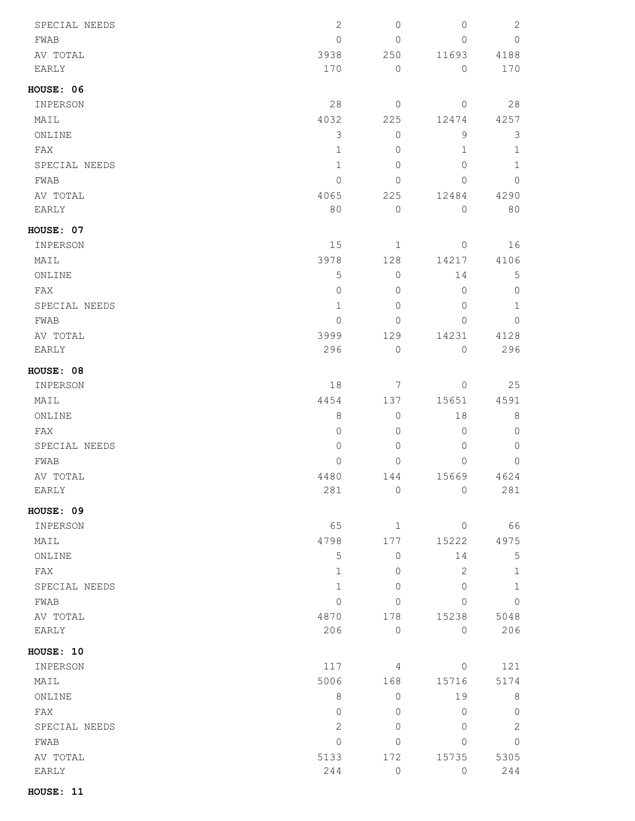| SPECIAL NEEDS    | $\mathbf{2}$   | $\mathbf 0$     | 0            | $\sqrt{2}$   |
|------------------|----------------|-----------------|--------------|--------------|
| FWAB             | $\mathbf 0$    | $\mathbf 0$     | 0            | $\circ$      |
| AV TOTAL         | 3938           | 250             | 11693        | 4188         |
| EARLY            | 170            | $\mathbf 0$     | $\circ$      | 170          |
| <b>HOUSE: 06</b> |                |                 |              |              |
| INPERSON         | 28             | 0               | $\circ$      | 28           |
| MAIL             | 4032           | 225             | 12474        | 4257         |
| ONLINE           | 3              | $\mathbf 0$     | 9            | 3            |
| FAX              | $1\,$          | 0               | 1            | $1\,$        |
| SPECIAL NEEDS    | $1\,$          | 0               | 0            | $1\,$        |
| FWAB             | 0              | 0               | 0            | $\circ$      |
| AV TOTAL         | 4065           | 225             | 12484        | 4290         |
| EARLY            | 80             | $\mathbf 0$     | 0            | 80           |
| HOUSE: 07        |                |                 |              |              |
| INPERSON         | 15             | $\mathbf{1}$    | $\mathbb O$  | 16           |
| MAIL             | 3978           | 128             | 14217        | 4106         |
| ONLINE           | $\mathsf S$    | $\mathbb O$     | 14           | 5            |
| FAX              | $\mathbf 0$    | 0               | 0            | $\circ$      |
| SPECIAL NEEDS    | $1\,$          | 0               | 0            | $\mathbf{1}$ |
| FWAB             | 0              | 0               | 0            | $\circ$      |
| AV TOTAL         | 3999           | 129             | 14231        | 4128         |
| EARLY            | 296            | $\circ$         | $\mathbb O$  | 296          |
| <b>HOUSE: 08</b> |                |                 |              |              |
| INPERSON         | 18             | $7\phantom{.0}$ | 0            | 25           |
| MAIL             | 4454           | 137             | 15651        | 4591         |
| ONLINE           | 8              | $\circ$         | 18           | 8            |
| FAX              | $\overline{0}$ | $\mathbf{0}$    | 0            | 0            |
| SPECIAL NEEDS    | 0              | 0               | 0            | 0            |
| FWAB             | 0              | 0               | 0            | 0            |
| AV TOTAL         | 4480           | 144             | 15669        | 4624         |
| EARLY            | 281            | $\mathbb O$     | 0            | 281          |
| <b>HOUSE: 09</b> |                |                 |              |              |
| INPERSON         | 65             | $\mathbf{1}$    | $\circ$      | 66           |
| MAIL             | 4798           | 177             | 15222        | 4975         |
| ONLINE           | $\mathsf S$    | 0               | 14           | $\mathsf S$  |
| FAX              | $\mathbf{1}$   | 0               | $\mathbf{2}$ | $1\,$        |
| SPECIAL NEEDS    | $1\,$          | 0               | 0            | $\mathbf{1}$ |
| FWAB             | $\mathbb O$    | $\mathbf 0$     | 0            | 0            |
| AV TOTAL         | 4870           | 178             | 15238        | 5048         |
| EARLY            | 206            | $\circ$         | $\circ$      | 206          |
| HOUSE: 10        |                |                 |              |              |
| INPERSON         | 117            | 4               | $\circ$      | 121          |
| MAIL             | 5006           | 168             | 15716        | 5174         |
| ONLINE           | $\,8\,$        | $\circ$         | 19           | 8            |
| FAX              | $\overline{0}$ | 0               | 0            | $\circ$      |
| SPECIAL NEEDS    | $\sqrt{2}$     | $\mathbf{0}$    | 0            | $\sqrt{2}$   |
| FWAB             | $\mathbb O$    | 0               | 0            | $\circ$      |
| AV TOTAL         | 5133           | 172             | 15735        | 5305         |
| EARLY            | 244            | $\mathbb O$     | 0            | 244          |
|                  |                |                 |              |              |

**HOUSE: 11**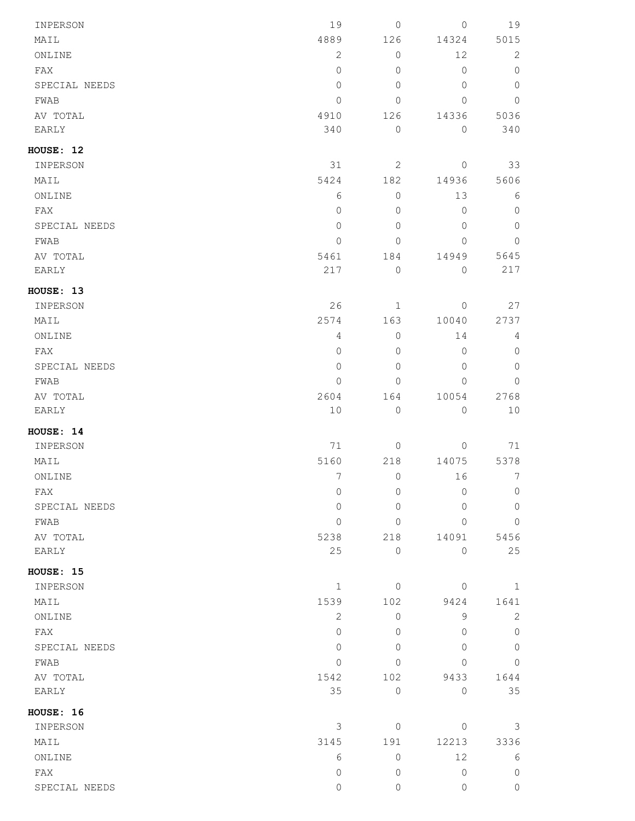| INPERSON              | 19             | $\mathsf{O}\xspace$ | $\mathbf{0}$ | 19             |
|-----------------------|----------------|---------------------|--------------|----------------|
| MAIL                  | 4889           | 126                 | 14324        | 5015           |
| ONLINE                | $\mathbf{2}$   | $\mathsf{O}\xspace$ | 12           | 2              |
| FAX                   | $\circ$        | $\mathbb O$         | $\mathbb O$  | $\circ$        |
| SPECIAL NEEDS         | $\circ$        | $\mathbf{0}$        | $\mathbf{0}$ | $\overline{0}$ |
| FWAB                  | $\circ$        | $\mathbb O$         | $\Omega$     | $\circ$        |
| AV TOTAL              | 4910           | 126                 | 14336        | 5036           |
| EARLY                 | 340            | $\mathbb O$         | $\circ$      | 340            |
| HOUSE: 12             |                |                     |              |                |
| INPERSON              | 31             | $\mathbf{2}$        | $\circ$      | 33             |
| MAIL                  | 5424           | 182                 | 14936        | 5606           |
| ONLINE                | 6              | $\mathbb O$         | 13           | 6              |
| FAX                   | $\circ$        | $\mathbf{0}$        | $\mathbf{0}$ | $\circ$        |
| SPECIAL NEEDS         | $\circ$        | $\mathbb O$         | $\mathbf{0}$ | $\mathbb O$    |
| FWAB                  | $\mathbf{0}$   | $\mathbf{0}$        | 0            | $\overline{0}$ |
| AV TOTAL              | 5461           | 184                 | 14949        | 5645           |
| EARLY                 | 217            | $\mathbb O$         | $\circ$      | 217            |
| HOUSE: 13             |                |                     |              |                |
| INPERSON              | 26             | $\mathbf{1}$        | $\circ$      | 27             |
| MAIL                  | 2574           | 163                 | 10040        | 2737           |
| ONLINE                | $\overline{4}$ | $\mathsf{O}\xspace$ | 14           | 4              |
| FAX                   | $\circ$        | $\mathbf{0}$        | $\mathbb O$  | $\circ$        |
| SPECIAL NEEDS         | $\circ$        | $\mathbf{0}$        | $\mathbb O$  | $\circ$        |
| FWAB                  | $\circ$        | $\mathbb O$         | 0            | $\circ$        |
| AV TOTAL              | 2604           | 164                 | 10054        | 2768           |
| EARLY                 | 10             | $\mathbb O$         | $\circ$      | 10             |
| HOUSE: 14             |                |                     |              |                |
| INPERSON              | 71             | $\mathbb O$         | $\mathbf{0}$ | 71             |
| MAIL                  | 5160           | 218                 | 14075        | 5378           |
| ONLINE                | 7              | $\mathbb O$         | 16           | 7              |
| FAX                   | $\mathbf{0}$   | 0                   | $\Omega$     | $\mathbf{0}$   |
| SPECIAL NEEDS         | $\mathbf{0}$   | $\mathbf{0}$        | $\Omega$     | $\mathbf{0}$   |
| FWAB                  | $\Omega$       | $\mathbf{0}$        | $\Omega$     | $\overline{0}$ |
| AV TOTAL              | 5238           | 218                 | 14091        | 5456           |
| EARLY                 | 25             | $\mathbf{0}$        | $\Omega$     | 25             |
| HOUSE: 15             |                |                     |              |                |
| INPERSON              | $\mathbf{1}$   | $\mathbf{0}$        | $\mathbf 0$  | 1              |
| MAIL                  | 1539           | 102                 | 9424         | 1641           |
| ONLINE                | 2              | $\circ$             | 9            | $\mathbf{2}$   |
| FAX                   | $\Omega$       | $\mathbf{0}$        | $\Omega$     | $\overline{0}$ |
| SPECIAL NEEDS         | $\Omega$       | $\Omega$            | $\Omega$     | $\overline{0}$ |
| FWAB                  | $\mathbf{0}$   | $\mathbf{0}$        | $\Omega$     | $\mathbf{0}$   |
| AV TOTAL              | 1542           | 102                 | 9433         | 1644           |
| EARLY                 | 35             | $\mathsf{O}\xspace$ | $\circ$      | 35             |
|                       |                |                     |              |                |
| HOUSE: 16<br>INPERSON | 3              | $\mathbf{0}$        | $\Omega$     | 3              |
| MAIL                  | 3145           | 191                 | 12213        | 3336           |
| ONLINE                | 6              | $\mathbf{0}$        | 12           | 6              |
| FAX                   | $\Omega$       | $\circ$             | $\mathbf{0}$ | $\mathbf{0}$   |
|                       |                |                     |              |                |
| SPECIAL NEEDS         | $\circ$        | 0                   | 0            | $\circ$        |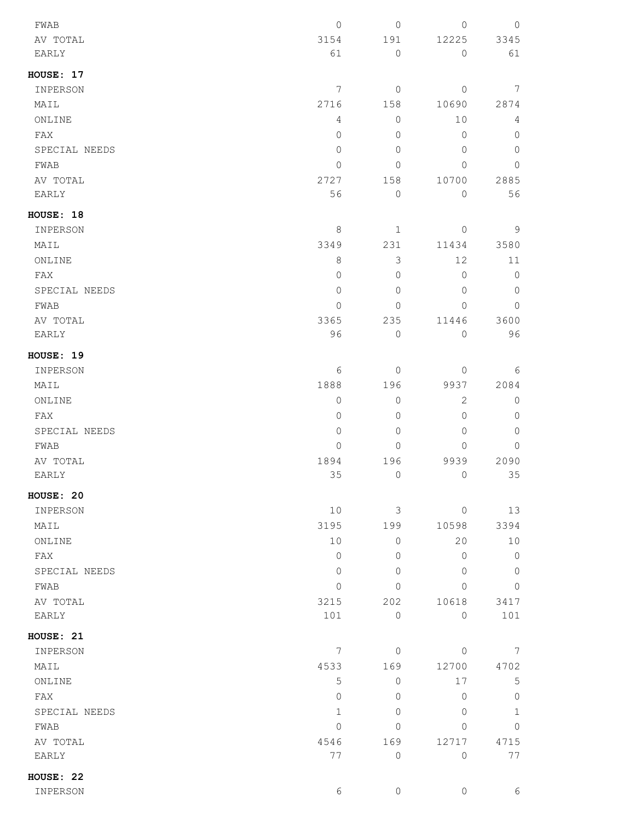| FWAB          | $\mathbf 0$    | $\mathbb O$    | $\overline{0}$ | $\mathbb O$    |
|---------------|----------------|----------------|----------------|----------------|
| AV TOTAL      | 3154           | 191            | 12225          | 3345           |
| EARLY         | 61             | $\mathbb O$    | $\mathbb O$    | 61             |
| HOUSE: 17     |                |                |                |                |
| INPERSON      | $\overline{7}$ | $\circledcirc$ | $\circ$        | 7              |
| MAIL          | 2716           | 158            | 10690          | 2874           |
| ONLINE        | 4              | $\mathbb O$    | 10             | $\overline{4}$ |
| FAX           | 0              | 0              | $\mathbf 0$    | $\overline{0}$ |
| SPECIAL NEEDS | $\mathbf 0$    | $\mathbf 0$    | $\mathbf 0$    | $\overline{0}$ |
| FWAB          | 0              | $\mathbf 0$    | $\mathbf 0$    | $\overline{0}$ |
| AV TOTAL      | 2727           | 158            | 10700          | 2885           |
| EARLY         | 56             | $\overline{0}$ | 0              | 56             |
| HOUSE: 18     |                |                |                |                |
| INPERSON      | 8              | $\mathbf{1}$   | $\mathbf{0}$   | $\overline{9}$ |
| MAIL          | 3349           | 231            | 11434          | 3580           |
| ONLINE        | 8              | $\mathcal{S}$  | 12             | 11             |
| FAX           | $\mathbf 0$    | $\mathbf 0$    | 0              | $\mathbb O$    |
| SPECIAL NEEDS | $\mathbf 0$    | $\mathbf 0$    | $\mathbf 0$    | $\circ$        |
| FWAB          | 0              | 0              | $\Omega$       | $\overline{0}$ |
| AV TOTAL      | 3365           | 235            | 11446          | 3600           |
| EARLY         | 96             | $\mathbb O$    | 0              | 96             |
| HOUSE: 19     |                |                |                |                |
| INPERSON      | 6              | $\overline{0}$ | $\mathbf 0$    | 6              |
| MAIL          | 1888           | 196            | 9937           | 2084           |
| ONLINE        | 0              | $\mathbb O$    | $\mathbf{2}$   | $\circ$        |
| FAX           | 0              | 0              | $\overline{0}$ | $\overline{0}$ |
| SPECIAL NEEDS | 0              | $\mathbf 0$    | $\mathbf 0$    | $\mathbb O$    |
| FWAB          | 0              | $\mathbf{0}$   | 0              | 0              |
| AV TOTAL      | 1894           | 196            | 9939           | 2090           |
| <b>EARLY</b>  | 35             | $\mathbf 0$    | $\overline{0}$ | 35             |
| HOUSE: 20     |                |                |                |                |
| INPERSON      | 10             | $\mathcal{S}$  | $\circ$        | 13             |
| MAIL          | 3195           | 199            | 10598          | 3394           |
| ONLINE        | 10             | $\mathbf{0}$   | 20             | 10             |
| FAX           | $\mathbf{0}$   | 0              | 0              | $\circ$        |
| SPECIAL NEEDS | $\circ$        | $\overline{0}$ | $\overline{0}$ | $\circ$        |
| FWAB          | $\mathbf 0$    | $\overline{0}$ | $\mathbf 0$    | $\overline{0}$ |
| AV TOTAL      | 3215           | 202            | 10618          | 3417           |
| EARLY         | 101            | $\mathbf{0}$   | $\mathbf{0}$   | 101            |
| HOUSE: 21     |                |                |                |                |
| INPERSON      | 7              | $\circ$        | $\overline{0}$ | 7              |
| MAIL          | 4533           | 169            | 12700          | 4702           |
| ONLINE        | 5              | 0              | 17             | 5              |
| FAX           | $\mathbf 0$    | $\Omega$       | 0              | $\mathbb O$    |
| SPECIAL NEEDS | 1              | $\overline{0}$ | $\Omega$       | $1\,$          |
| FWAB          | 0              | $\Omega$       | $\Omega$       | 0              |
| AV TOTAL      | 4546           | 169            | 12717          | 4715           |
| EARLY         | 77             | $\overline{0}$ | $\mathbf 0$    | 77             |
| HOUSE: 22     |                |                |                |                |
| INPERSON      | 6              | $\mathbb O$    | $\mathbb O$    | 6              |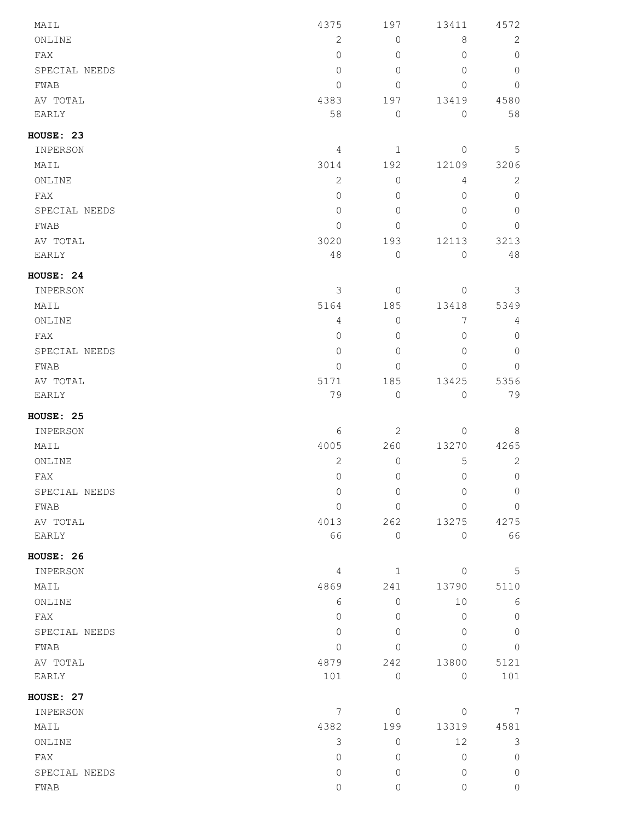| MAIL          | 4375           | 197                 | 13411          | 4572           |
|---------------|----------------|---------------------|----------------|----------------|
| ONLINE        | $\overline{c}$ | $\mathbb O$         | $\,8\,$        | 2              |
| FAX           | $\overline{0}$ | $\mathbf{0}$        | $\Omega$       | $\mathbf{0}$   |
| SPECIAL NEEDS | $\overline{0}$ | $\overline{0}$      | $\Omega$       | $\circledcirc$ |
| FWAB          | 0              | $\mathbf 0$         | 0              | $\mathbf{0}$   |
| AV TOTAL      | 4383           | 197                 | 13419          | 4580           |
| EARLY         | 58             | $\mathbb O$         | $\mathsf{O}$   | 58             |
| HOUSE: 23     |                |                     |                |                |
| INPERSON      | 4              | $\mathbf 1$         | 0              | 5              |
| MAIL          | 3014           | 192                 | 12109          | 3206           |
| ONLINE        | $\overline{c}$ | $\mathbb O$         | $\overline{4}$ | $\mathbf{2}$   |
| FAX           | $\overline{0}$ | $\mathbb O$         | 0              | $\circledcirc$ |
| SPECIAL NEEDS | $\overline{0}$ | $\overline{0}$      | $\Omega$       | $\mathbf{0}$   |
| ${\tt FWAB}$  | $\overline{0}$ | $\mathbf{0}$        | $\Omega$       | $\mathbf{0}$   |
| AV TOTAL      | 3020           | 193                 | 12113          | 3213           |
| EARLY         | 48             | $\mathbb O$         | $\circ$        | 48             |
| HOUSE: 24     |                |                     |                |                |
| INPERSON      | 3              | $\mathsf{O}\xspace$ | $\overline{0}$ | 3              |
| MAIL          | 5164           | 185                 | 13418          | 5349           |
| ONLINE        | $\overline{4}$ | $\mathbb O$         | 7              | 4              |
| FAX           | $\mathbf 0$    | $\mathbb O$         | 0              | $\mathbb O$    |
| SPECIAL NEEDS | $\overline{0}$ | $\mathbb O$         | $\Omega$       | $\mathbb O$    |
| FWAB          | $\mathbf 0$    | $\mathbf 0$         | $\Omega$       | $\mathbf 0$    |
| AV TOTAL      | 5171           | 185                 | 13425          | 5356           |
| EARLY         | 79             | $\mathbb O$         | $\mathsf{O}$   | 79             |
| HOUSE: 25     |                |                     |                |                |
| INPERSON      | 6              | $\mathbf{2}$        | 0              | 8              |
| MAIL          | 4005           | 260                 | 13270          | 4265           |
| ONLINE        | $\overline{c}$ | $\mathbb O$         | 5              | $\mathbf{2}$   |
| FAX           | $\overline{0}$ | $\mathbb O$         | $\mathbf{0}$   | $\mathbf{0}$   |
| SPECIAL NEEDS | $\mathbf 0$    | $\mathbf 0$         | $\mathbf{0}$   | $\mathbb O$    |
| FWAB          | $\mathbb O$    | $\mathbb O$         | $\Omega$       | $\mathbb O$    |
| AV TOTAL      | 4013           | 262                 | 13275          | 4275           |
| EARLY         | 66             | $\mathbf{0}$        | $\overline{0}$ | 66             |
| HOUSE: 26     |                |                     |                |                |
| INPERSON      | 4              | $\mathbf{1}$        | $\Omega$       | 5              |
| MAIL          | 4869           | 241                 | 13790          | 5110           |
| ONLINE        | 6              | $\mathbf{0}$        | 10             | 6              |
| FAX           | $\Omega$       | $\mathbf{0}$        | $\mathbf{0}$   | $\mathbf{0}$   |
| SPECIAL NEEDS | $\mathbb O$    | $\mathbf{0}$        | $\mathbf{0}$   | $\mathbf{0}$   |
| FWAB          | $\mathbf 0$    | 0                   | $\Omega$       | $\mathbf{0}$   |
| AV TOTAL      | 4879           | 242                 | 13800          | 5121           |
| EARLY         | 101            | $\mathsf{O}\xspace$ | $\overline{0}$ | 101            |
| HOUSE: 27     |                |                     |                |                |
| INPERSON      | 7              | $\mathsf{O}\xspace$ | $\overline{0}$ | 7              |
| MAIL          | 4382           | 199                 | 13319          | 4581           |
| ONLINE        | 3              | $\mathsf{O}\xspace$ | 12             | $\mathfrak{Z}$ |
| FAX           | 0              | $\mathbb O$         | $\circledcirc$ | $\mathbb O$    |
| SPECIAL NEEDS | $\mathbf 0$    | $\circ$             | $\mathbf{0}$   | $\circledcirc$ |
| FWAB          | 0              | $\mathsf{O}\xspace$ | 0              | $\mathbb O$    |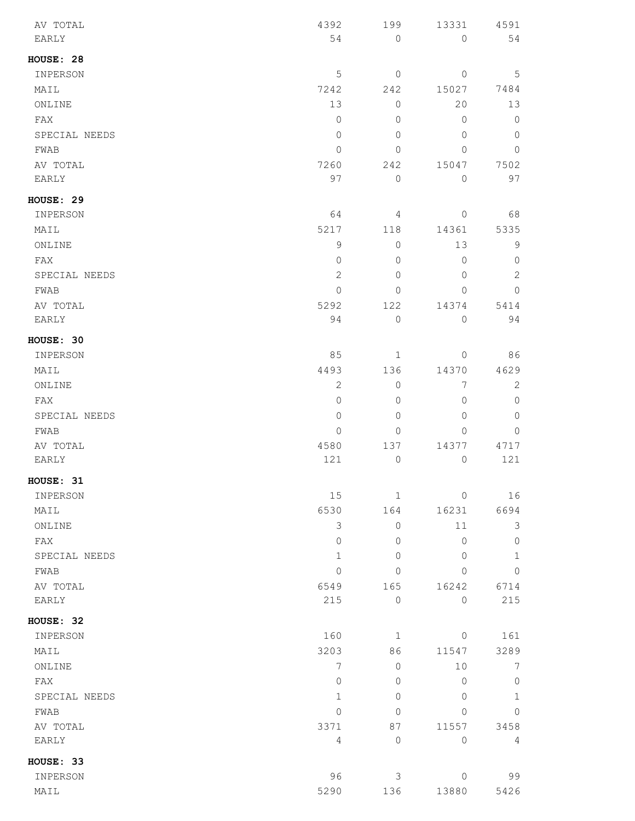| AV TOTAL      | 4392           | 199            | 13331               | 4591           |
|---------------|----------------|----------------|---------------------|----------------|
| EARLY         | 54             | $\mathbf{0}$   | $\mathsf{O}\xspace$ | 54             |
| HOUSE: 28     |                |                |                     |                |
| INPERSON      | $\mathsf S$    | $\circ$        | $\circ$             | 5              |
| MAIL          | 7242           | 242            | 15027               | 7484           |
| ONLINE        | 13             | 0              | 20                  | 13             |
| FAX           | $\mathbf 0$    | $\mathbf{0}$   | $\overline{0}$      | $\mathbb O$    |
| SPECIAL NEEDS | 0              | 0              | 0                   | $\circ$        |
| FWAB          | 0              | $\Omega$       | 0                   | 0              |
| AV TOTAL      | 7260           | 242            | 15047               | 7502           |
| EARLY         | 97             | $\mathbb O$    | $\overline{0}$      | 97             |
| HOUSE: 29     |                |                |                     |                |
| INPERSON      | 64             | 4              | $\mathbb O$         | 68             |
| MAIL          | 5217           | 118            | 14361               | 5335           |
| ONLINE        | $\mathsf 9$    | $\circ$        | 13                  | 9              |
| FAX           | 0              | 0              | 0                   | $\circ$        |
| SPECIAL NEEDS | $\overline{c}$ | $\mathbf 0$    | 0                   | $\overline{c}$ |
| FWAB          | $\mathbf 0$    | 0              | $\mathbf{0}$        | $\overline{0}$ |
| AV TOTAL      | 5292           | 122            | 14374               | 5414           |
| EARLY         | 94             | $\overline{0}$ | $\mathbb O$         | 94             |
| HOUSE: 30     |                |                |                     |                |
| INPERSON      | 85             | 1              | $\circ$             | 86             |
| MAIL          | 4493           | 136            | 14370               | 4629           |
| ONLINE        | 2              | $\mathbf{0}$   | 7                   | 2              |
| FAX           | $\mathbb O$    | 0              | 0                   | $\mathbb O$    |
| SPECIAL NEEDS | 0              | $\mathbf 0$    | 0                   | $\overline{0}$ |
| FWAB          | $\mathbf 0$    | 0              | 0                   | 0              |
| AV TOTAL      | 4580           | 137            | 14377               | 4717           |
| EARLY         | 121            | 0              | $\mathbb O$         | 121            |
| HOUSE: 31     |                |                |                     |                |
| INPERSON      | 15             | $\mathbf{1}$   | $\mathbb O$         | 16             |
| MAIL          | 6530           | 164            | 16231               | 6694           |
| ONLINE        | 3              | $\mathbf{0}$   | 11                  | 3              |
| FAX           | $\mathbf 0$    | 0              | $\overline{0}$      | $\mathbb O$    |
| SPECIAL NEEDS | $\mathbf{1}$   | $\mathbf 0$    | $\overline{0}$      | $\mathbf{1}$   |
| FWAB          | $\mathbf 0$    | $\mathbf 0$    | 0                   | $\overline{0}$ |
| AV TOTAL      | 6549           | 165            | 16242               | 6714           |
| EARLY         | 215            | $\mathbf{0}$   | $\mathbb O$         | 215            |
| HOUSE: 32     |                |                |                     |                |
| INPERSON      | 160            | $\mathbf{1}$   | $\circ$             | 161            |
| MAIL          | 3203           | 86             | 11547               | 3289           |
| ONLINE        | 7              | 0              | 10                  | 7              |
| FAX           | $\mathbb O$    | 0              | $\overline{0}$      | $\circ$        |
| SPECIAL NEEDS | $\mathbf{1}$   | $\overline{0}$ | 0                   | $\mathbf{1}$   |
| FWAB          | $\mathbf 0$    | $\mathbf 0$    | 0                   | $\mathbb O$    |
| AV TOTAL      | 3371           | 87             | 11557               | 3458           |
| EARLY         | $\overline{4}$ | $\mathbf{0}$   | $\circ$             | $\overline{4}$ |
| HOUSE: 33     |                |                |                     |                |
| INPERSON      | 96             | 3              | $\circ$             | 99             |
| MAIL          | 5290           | 136            | 13880               | 5426           |
|               |                |                |                     |                |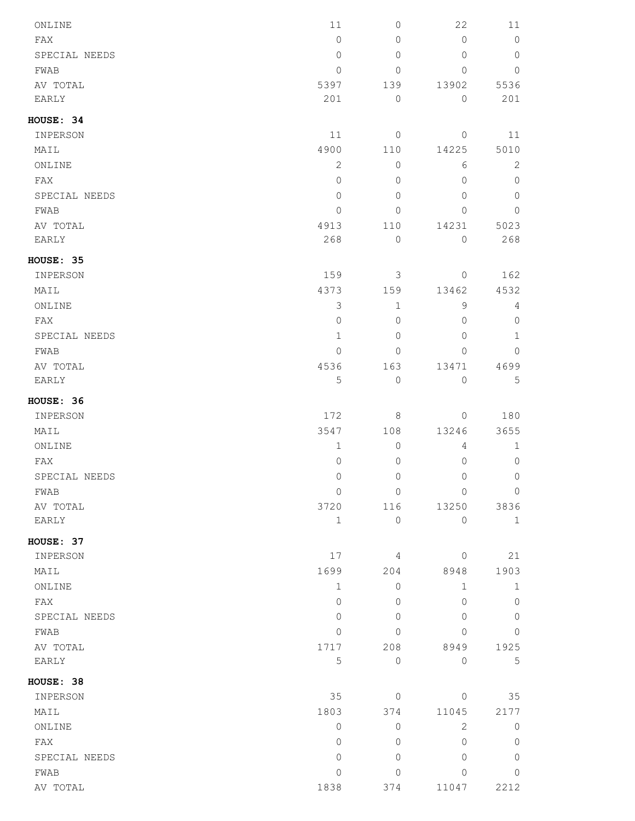| ONLINE        | 11             | $\circledcirc$ | 22                  | 11             |
|---------------|----------------|----------------|---------------------|----------------|
| FAX           | $\circ$        | $\mathbf{0}$   | $\mathbf{0}$        | $\circ$        |
| SPECIAL NEEDS | $\mathbf{0}$   | $\mathbf{0}$   | $\Omega$            | $\overline{0}$ |
| FWAB          | $\mathbf{0}$   | $\circledcirc$ | $\mathbf{0}$        | $\overline{0}$ |
| AV TOTAL      | 5397           | 139            | 13902               | 5536           |
| EARLY         | 201            | $\circledcirc$ | $\circ$             | 201            |
| HOUSE: 34     |                |                |                     |                |
| INPERSON      | 11             | $\circledcirc$ | $\mathbf{0}$        | 11             |
| MAIL          | 4900           | 110            | 14225               | 5010           |
| ONLINE        | $\mathbf{2}$   | $\circledcirc$ | 6                   | $\mathbf{2}$   |
| FAX           | $\mathbb O$    | $\mathbf{0}$   | $\mathbf{0}$        | $\circledcirc$ |
| SPECIAL NEEDS | $\mathbf{0}$   | $\mathbf{0}$   | $\mathbf{0}$        | $\circledcirc$ |
| FWAB          | $\mathbf{0}$   | $\mathbf{0}$   | $\Omega$            | $\mathbf{0}$   |
| AV TOTAL      | 4913           | 110            | 14231               | 5023           |
| EARLY         | 268            | $\circledcirc$ | $\overline{0}$      | 268            |
| HOUSE: 35     |                |                |                     |                |
| INPERSON      | 159            | 3              | $\circ$             | 162            |
| MAIL          | 4373           | 159            | 13462               | 4532           |
| ONLINE        | $\mathfrak{Z}$ | $\mathbf{1}$   | 9                   | 4              |
| FAX           | $\circ$        | $\mathbf{0}$   | $\mathbf{0}$        | $\circledcirc$ |
| SPECIAL NEEDS | $\mathbf{1}$   | $\mathbf{0}$   | $\Omega$            | $\mathbf{1}$   |
| FWAB          | $\mathbf{0}$   | $\mathbf 0$    | $\Omega$            | $\circ$        |
| AV TOTAL      | 4536           | 163            | 13471               | 4699           |
| EARLY         | 5              | $\mathbb O$    | $\circ$             | 5              |
| HOUSE: 36     |                |                |                     |                |
| INPERSON      | 172            | 8              | $\circ$             | 180            |
| MAIL          | 3547           | 108            | 13246               | 3655           |
| ONLINE        | $\mathbf 1$    | $\mathbb O$    | $\overline{4}$      | $\mathbf 1$    |
| FAX           | 0              | $\mathbf 0$    | $\mathsf{O}\xspace$ | $\circledcirc$ |
| SPECIAL NEEDS | 0              | $\mathbb O$    | $\circ$             | $\circ$        |
| FWAB          | $\mathbf{0}$   | $\circledcirc$ | $\mathbf{0}$        | $\overline{0}$ |
| AV TOTAL      | 3720           | 116            | 13250               | 3836           |
| EARLY         | $\mathbf{1}$   | $\mathbb O$    | $\mathbf{0}$        | $\mathbf{1}$   |
| HOUSE: 37     |                |                |                     |                |
| INPERSON      | 17             | 4              | $\mathbf{0}$        | 21             |
| MAIL          | 1699           | 204            | 8948                | 1903           |
| ONLINE        | $\mathbf{1}$   | $\mathbf{0}$   | $\mathbf 1$         | $\mathbf{1}$   |
| FAX           | $\Omega$       | 0              | $\Omega$            | $\mathbb O$    |
| SPECIAL NEEDS | 0              | $\mathbf 0$    | $\Omega$            | $\mathbf 0$    |
| FWAB          | $\Omega$       | $\mathbf 0$    | $\Omega$            | 0              |
| AV TOTAL      | 1717           | 208            | 8949                | 1925           |
| EARLY         | 5              | $\mathbb O$    | $\overline{0}$      | 5              |
| HOUSE: 38     |                |                |                     |                |
| INPERSON      | 35             | $\mathbf{0}$   | $\mathbf{0}$        | 35             |
| MAIL          | 1803           | 374            | 11045               | 2177           |
| ONLINE        | $\Omega$       | $\mathbf{0}$   | 2                   | $\circ$        |
| FAX           | $\mathbf{0}$   | $\mathbf{0}$   | $\mathbf{0}$        | $\circledcirc$ |
| SPECIAL NEEDS | $\mathbf{0}$   | $\mathbf 0$    | $\Omega$            | $\mathbb O$    |
| FWAB          | 0              | $\mathbf 0$    | 0                   | $\circ$        |
| AV TOTAL      | 1838           | 374            | 11047               | 2212           |